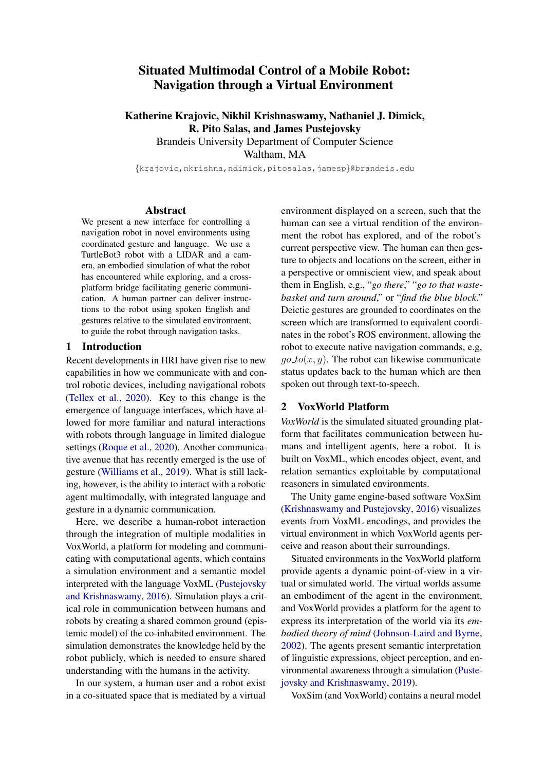# Situated Multimodal Control of a Mobile Robot: Navigation through a Virtual Environment

Katherine Krajovic, Nikhil Krishnaswamy, Nathaniel J. Dimick, R. Pito Salas, and James Pustejovsky

Brandeis University Department of Computer Science

Waltham, MA

{krajovic,nkrishna,ndimick,pitosalas,jamesp}@brandeis.edu

#### Abstract

We present a new interface for controlling a navigation robot in novel environments using coordinated gesture and language. We use a TurtleBot3 robot with a LIDAR and a camera, an embodied simulation of what the robot has encountered while exploring, and a crossplatform bridge facilitating generic communication. A human partner can deliver instructions to the robot using spoken English and gestures relative to the simulated environment, to guide the robot through navigation tasks.

#### 1 Introduction

Recent developments in HRI have given rise to new capabilities in how we communicate with and control robotic devices, including navigational robots [\(Tellex et al.,](#page-4-0) [2020\)](#page-4-0). Key to this change is the emergence of language interfaces, which have allowed for more familiar and natural interactions with robots through language in limited dialogue settings [\(Roque et al.,](#page-4-1) [2020\)](#page-4-1). Another communicative avenue that has recently emerged is the use of gesture [\(Williams et al.,](#page-4-2) [2019\)](#page-4-2). What is still lacking, however, is the ability to interact with a robotic agent multimodally, with integrated language and gesture in a dynamic communication.

Here, we describe a human-robot interaction through the integration of multiple modalities in VoxWorld, a platform for modeling and communicating with computational agents, which contains a simulation environment and a semantic model interpreted with the language VoxML [\(Pustejovsky](#page-4-3) [and Krishnaswamy,](#page-4-3) [2016\)](#page-4-3). Simulation plays a critical role in communication between humans and robots by creating a shared common ground (epistemic model) of the co-inhabited environment. The simulation demonstrates the knowledge held by the robot publicly, which is needed to ensure shared understanding with the humans in the activity.

In our system, a human user and a robot exist in a co-situated space that is mediated by a virtual environment displayed on a screen, such that the human can see a virtual rendition of the environment the robot has explored, and of the robot's current perspective view. The human can then gesture to objects and locations on the screen, either in a perspective or omniscient view, and speak about them in English, e.g., "*go there*," "*go to that wastebasket and turn around*," or "*find the blue block*." Deictic gestures are grounded to coordinates on the screen which are transformed to equivalent coordinates in the robot's ROS environment, allowing the robot to execute native navigation commands, e.g,  $qo\_to(x, y)$ . The robot can likewise communicate status updates back to the human which are then spoken out through text-to-speech.

## 2 VoxWorld Platform

*VoxWorld* is the simulated situated grounding platform that facilitates communication between humans and intelligent agents, here a robot. It is built on VoxML, which encodes object, event, and relation semantics exploitable by computational reasoners in simulated environments.

The Unity game engine-based software VoxSim [\(Krishnaswamy and Pustejovsky,](#page-4-4) [2016\)](#page-4-4) visualizes events from VoxML encodings, and provides the virtual environment in which VoxWorld agents perceive and reason about their surroundings.

Situated environments in the VoxWorld platform provide agents a dynamic point-of-view in a virtual or simulated world. The virtual worlds assume an embodiment of the agent in the environment, and VoxWorld provides a platform for the agent to express its interpretation of the world via its *embodied theory of mind* [\(Johnson-Laird and Byrne,](#page-4-5) [2002\)](#page-4-5). The agents present semantic interpretation of linguistic expressions, object perception, and environmental awareness through a simulation [\(Puste](#page-4-6)[jovsky and Krishnaswamy,](#page-4-6) [2019\)](#page-4-6).

VoxSim (and VoxWorld) contains a neural model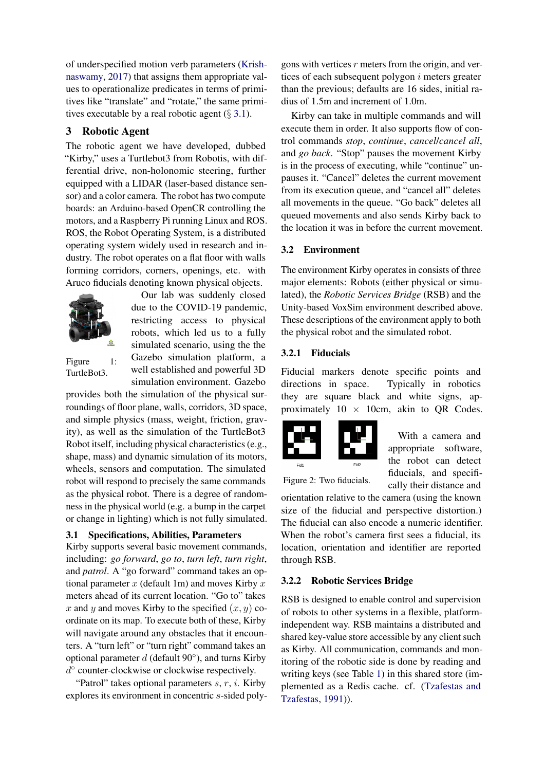of underspecified motion verb parameters [\(Krish](#page-4-7)[naswamy,](#page-4-7) [2017\)](#page-4-7) that assigns them appropriate values to operationalize predicates in terms of primitives like "translate" and "rotate," the same primitives executable by a real robotic agent  $(\S 3.1)$  $(\S 3.1)$ .

# 3 Robotic Agent

The robotic agent we have developed, dubbed "Kirby," uses a Turtlebot3 from Robotis, with differential drive, non-holonomic steering, further equipped with a LIDAR (laser-based distance sensor) and a color camera. The robot has two compute boards: an Arduino-based OpenCR controlling the motors, and a Raspberry Pi running Linux and ROS. ROS, the Robot Operating System, is a distributed operating system widely used in research and industry. The robot operates on a flat floor with walls forming corridors, corners, openings, etc. with Aruco fiducials denoting known physical objects.



Our lab was suddenly closed due to the COVID-19 pandemic, restricting access to physical robots, which led us to a fully simulated scenario, using the the Gazebo simulation platform, a well established and powerful 3D simulation environment. Gazebo

Figure 1: TurtleBot3.

provides both the simulation of the physical surroundings of floor plane, walls, corridors, 3D space, and simple physics (mass, weight, friction, gravity), as well as the simulation of the TurtleBot3 Robot itself, including physical characteristics (e.g., shape, mass) and dynamic simulation of its motors, wheels, sensors and computation. The simulated robot will respond to precisely the same commands as the physical robot. There is a degree of randomness in the physical world (e.g. a bump in the carpet or change in lighting) which is not fully simulated.

## <span id="page-1-0"></span>3.1 Specifications, Abilities, Parameters

Kirby supports several basic movement commands, including: *go forward*, *go to*, *turn left*, *turn right*, and *patrol*. A "go forward" command takes an optional parameter  $x$  (default 1m) and moves Kirby  $x$ meters ahead of its current location. "Go to" takes x and y and moves Kirby to the specified  $(x, y)$  coordinate on its map. To execute both of these, Kirby will navigate around any obstacles that it encounters. A "turn left" or "turn right" command takes an optional parameter  $d$  (default 90 $^{\circ}$ ), and turns Kirby d ◦ counter-clockwise or clockwise respectively.

"Patrol" takes optional parameters  $s, r, i$ . Kirby explores its environment in concentric s-sided poly-

gons with vertices  $r$  meters from the origin, and vertices of each subsequent polygon  $i$  meters greater than the previous; defaults are 16 sides, initial radius of 1.5m and increment of 1.0m.

Kirby can take in multiple commands and will execute them in order. It also supports flow of control commands *stop*, *continue*, *cancel*/*cancel all*, and *go back*. "Stop" pauses the movement Kirby is in the process of executing, while "continue" unpauses it. "Cancel" deletes the current movement from its execution queue, and "cancel all" deletes all movements in the queue. "Go back" deletes all queued movements and also sends Kirby back to the location it was in before the current movement.

#### 3.2 Environment

The environment Kirby operates in consists of three major elements: Robots (either physical or simulated), the *Robotic Services Bridge* (RSB) and the Unity-based VoxSim environment described above. These descriptions of the environment apply to both the physical robot and the simulated robot.

#### 3.2.1 Fiducials

Fiducial markers denote specific points and directions in space. Typically in robotics they are square black and white signs, approximately  $10 \times 10$ cm, akin to QR Codes.



With a camera and appropriate software, the robot can detect fiducials, and specifically their distance and

Figure 2: Two fiducials.

orientation relative to the camera (using the known size of the fiducial and perspective distortion.) The fiducial can also encode a numeric identifier. When the robot's camera first sees a fiducial, its location, orientation and identifier are reported through RSB.

#### 3.2.2 Robotic Services Bridge

RSB is designed to enable control and supervision of robots to other systems in a flexible, platformindependent way. RSB maintains a distributed and shared key-value store accessible by any client such as Kirby. All communication, commands and monitoring of the robotic side is done by reading and writing keys (see Table [1\)](#page-2-0) in this shared store (implemented as a Redis cache. cf. [\(Tzafestas and](#page-4-8) [Tzafestas,](#page-4-8) [1991\)](#page-4-8)).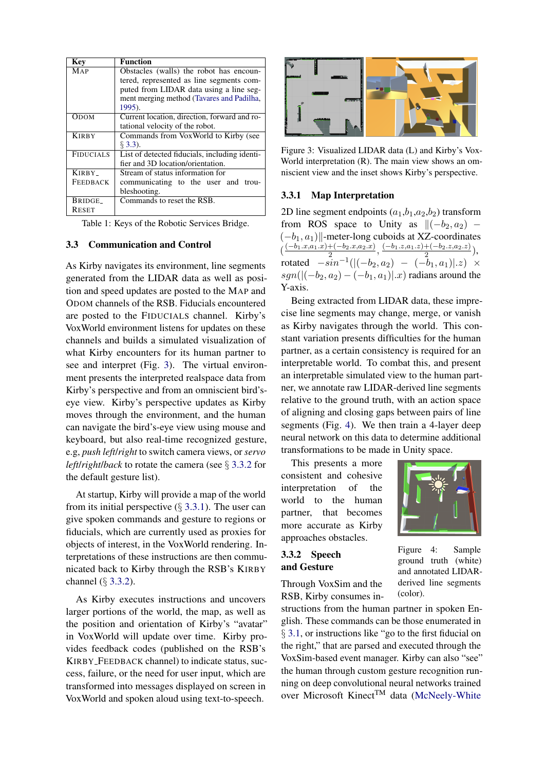<span id="page-2-0"></span>

| Key              | <b>Function</b>                               |
|------------------|-----------------------------------------------|
| MAP              | Obstacles (walls) the robot has encoun-       |
|                  | tered, represented as line segments com-      |
|                  | puted from LIDAR data using a line seg-       |
|                  | ment merging method (Tavares and Padilha,     |
|                  | 1995).                                        |
| Ором             | Current location, direction, forward and ro-  |
|                  | tational velocity of the robot.               |
| <b>KIRBY</b>     | Commands from VoxWorld to Kirby (see          |
|                  | $\S$ 3.3).                                    |
| <b>FIDUCIALS</b> | List of detected fiducials, including identi- |
|                  | fier and 3D location/orientation.             |
| KIRBY_           | Stream of status information for              |
| <b>FEEDBACK</b>  | communicating to the user and<br>trou-        |
|                  | bleshooting.                                  |
| BRIDGE_          | Commands to reset the RSB.                    |
| <b>RESET</b>     |                                               |

Table 1: Keys of the Robotic Services Bridge.

#### <span id="page-2-1"></span>3.3 Communication and Control

As Kirby navigates its environment, line segments generated from the LIDAR data as well as position and speed updates are posted to the MAP and ODOM channels of the RSB. Fiducials encountered are posted to the FIDUCIALS channel. Kirby's VoxWorld environment listens for updates on these channels and builds a simulated visualization of what Kirby encounters for its human partner to see and interpret (Fig. [3\)](#page-2-2). The virtual environment presents the interpreted realspace data from Kirby's perspective and from an omniscient bird'seye view. Kirby's perspective updates as Kirby moves through the environment, and the human can navigate the bird's-eye view using mouse and keyboard, but also real-time recognized gesture, e.g, *push left*/*right* to switch camera views, or *servo left*/*right*/*back* to rotate the camera (see § [3.3.2](#page-2-3) for the default gesture list).

At startup, Kirby will provide a map of the world from its initial perspective  $(\S 3.3.1)$  $(\S 3.3.1)$ . The user can give spoken commands and gesture to regions or fiducials, which are currently used as proxies for objects of interest, in the VoxWorld rendering. Interpretations of these instructions are then communicated back to Kirby through the RSB's KIRBY channel (§ [3.3.2\)](#page-2-3).

As Kirby executes instructions and uncovers larger portions of the world, the map, as well as the position and orientation of Kirby's "avatar" in VoxWorld will update over time. Kirby provides feedback codes (published on the RSB's KIRBY FEEDBACK channel) to indicate status, success, failure, or the need for user input, which are transformed into messages displayed on screen in VoxWorld and spoken aloud using text-to-speech.

<span id="page-2-2"></span>

Figure 3: Visualized LIDAR data (L) and Kirby's Vox-World interpretation (R). The main view shows an omniscient view and the inset shows Kirby's perspective.

#### <span id="page-2-4"></span>3.3.1 Map Interpretation

2D line segment endpoints  $(a_1,b_1,a_2,b_2)$  transform from ROS space to Unity as  $\|(-b_2, a_2) (-b_1, a_1)$ ||-meter-long cuboids at XZ-coordinates  $\left(\frac{(-b_1.x,a_1.x)+(b_2.x,a_2.x)}{2}\right)$  $\frac{+(-b_2.x,a_2.x)}{2}, \frac{(-b_1.z,a_1.z)+(b_2.z,a_2.z)}{2}$  $\frac{+(-b_2,z,a_2,z)}{2}),$ rotated  $-sin^{-1}([(-b_2, a_2) - (-b_1, a_1)].z) \times$  $sgn((-b_2, a_2) - (-b_1, a_1)|.x)$  radians around the Y-axis.

Being extracted from LIDAR data, these imprecise line segments may change, merge, or vanish as Kirby navigates through the world. This constant variation presents difficulties for the human partner, as a certain consistency is required for an interpretable world. To combat this, and present an interpretable simulated view to the human partner, we annotate raw LIDAR-derived line segments relative to the ground truth, with an action space of aligning and closing gaps between pairs of line segments (Fig. [4\)](#page-2-5). We then train a 4-layer deep neural network on this data to determine additional transformations to be made in Unity space.

This presents a more consistent and cohesive interpretation of the world to the human partner, that becomes more accurate as Kirby approaches obstacles.

## <span id="page-2-3"></span>3.3.2 Speech and Gesture

Through VoxSim and the RSB, Kirby consumes in-

structions from the human partner in spoken English. These commands can be those enumerated in § [3.1,](#page-1-0) or instructions like "go to the first fiducial on the right," that are parsed and executed through the VoxSim-based event manager. Kirby can also "see" the human through custom gesture recognition running on deep convolutional neural networks trained over Microsoft Kinect<sup>TM</sup> data [\(McNeely-White](#page-4-10)

<span id="page-2-5"></span>

Figure 4: Sample ground truth (white) and annotated LIDARderived line segments (color).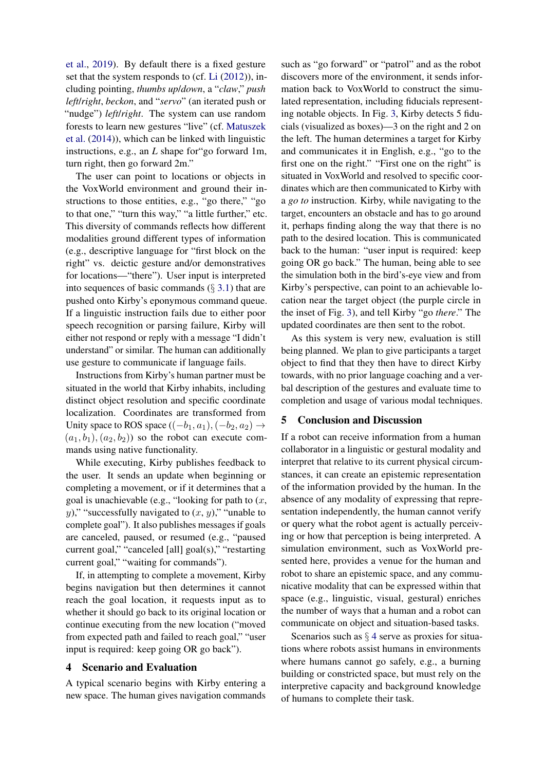[et al.,](#page-4-10) [2019\)](#page-4-10). By default there is a fixed gesture set that the system responds to (cf. [Li](#page-4-11) [\(2012\)](#page-4-11)), including pointing, *thumbs up*/*down*, a "*claw*," *push left*/*right*, *beckon*, and "*servo*" (an iterated push or "nudge") *left*/*right*. The system can use random forests to learn new gestures "live" (cf. [Matuszek](#page-4-12) [et al.](#page-4-12) [\(2014\)](#page-4-12)), which can be linked with linguistic instructions, e.g., an *L* shape for"go forward 1m, turn right, then go forward 2m."

The user can point to locations or objects in the VoxWorld environment and ground their instructions to those entities, e.g., "go there," "go to that one," "turn this way," "a little further," etc. This diversity of commands reflects how different modalities ground different types of information (e.g., descriptive language for "first block on the right" vs. deictic gesture and/or demonstratives for locations—"there"). User input is interpreted into sequences of basic commands  $(\S 3.1)$  $(\S 3.1)$  that are pushed onto Kirby's eponymous command queue. If a linguistic instruction fails due to either poor speech recognition or parsing failure, Kirby will either not respond or reply with a message "I didn't understand" or similar. The human can additionally use gesture to communicate if language fails.

Instructions from Kirby's human partner must be situated in the world that Kirby inhabits, including distinct object resolution and specific coordinate localization. Coordinates are transformed from Unity space to ROS space  $((-b_1, a_1), (-b_2, a_2) \rightarrow$  $(a_1, b_1), (a_2, b_2)$  so the robot can execute commands using native functionality.

While executing, Kirby publishes feedback to the user. It sends an update when beginning or completing a movement, or if it determines that a goal is unachievable (e.g., "looking for path to  $(x,$ y)," "successfully navigated to  $(x, y)$ ," "unable to complete goal"). It also publishes messages if goals are canceled, paused, or resumed (e.g., "paused current goal," "canceled [all] goal(s)," "restarting current goal," "waiting for commands").

If, in attempting to complete a movement, Kirby begins navigation but then determines it cannot reach the goal location, it requests input as to whether it should go back to its original location or continue executing from the new location ("moved from expected path and failed to reach goal," "user input is required: keep going OR go back").

## <span id="page-3-0"></span>4 Scenario and Evaluation

A typical scenario begins with Kirby entering a new space. The human gives navigation commands

such as "go forward" or "patrol" and as the robot discovers more of the environment, it sends information back to VoxWorld to construct the simulated representation, including fiducials representing notable objects. In Fig. [3,](#page-2-2) Kirby detects 5 fiducials (visualized as boxes)—3 on the right and 2 on the left. The human determines a target for Kirby and communicates it in English, e.g., "go to the first one on the right." "First one on the right" is situated in VoxWorld and resolved to specific coordinates which are then communicated to Kirby with a *go to* instruction. Kirby, while navigating to the target, encounters an obstacle and has to go around it, perhaps finding along the way that there is no path to the desired location. This is communicated back to the human: "user input is required: keep going OR go back." The human, being able to see the simulation both in the bird's-eye view and from Kirby's perspective, can point to an achievable location near the target object (the purple circle in the inset of Fig. [3\)](#page-2-2), and tell Kirby "go *there*." The updated coordinates are then sent to the robot.

As this system is very new, evaluation is still being planned. We plan to give participants a target object to find that they then have to direct Kirby towards, with no prior language coaching and a verbal description of the gestures and evaluate time to completion and usage of various modal techniques.

#### 5 Conclusion and Discussion

If a robot can receive information from a human collaborator in a linguistic or gestural modality and interpret that relative to its current physical circumstances, it can create an epistemic representation of the information provided by the human. In the absence of any modality of expressing that representation independently, the human cannot verify or query what the robot agent is actually perceiving or how that perception is being interpreted. A simulation environment, such as VoxWorld presented here, provides a venue for the human and robot to share an epistemic space, and any communicative modality that can be expressed within that space (e.g., linguistic, visual, gestural) enriches the number of ways that a human and a robot can communicate on object and situation-based tasks.

Scenarios such as  $\S$  [4](#page-3-0) serve as proxies for situations where robots assist humans in environments where humans cannot go safely, e.g., a burning building or constricted space, but must rely on the interpretive capacity and background knowledge of humans to complete their task.